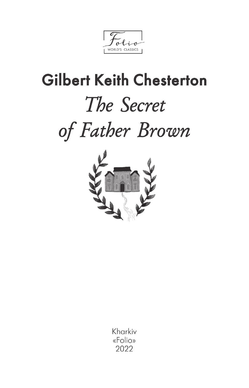WORLD'S CLASSICS

# **Gilbert Keith Chesterton** The Secret of Father Brown



Kharkiv «Folio» 2022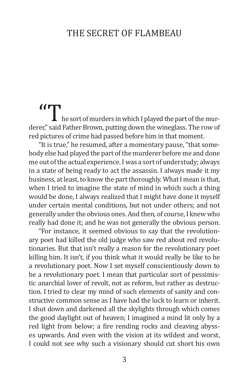### THE SECRET OF FLAMBEAU

**the sort of murders in which I played the part of the murderer,"** said Father Brown, putting down the wineglass. The row of red pictures of crime had passed before him in that moment.

"It is true," he resumed, after a momentary pause, "that somebody else had played the part of the murderer before me and done me out of the actual experience. I was a sort of understudy; always in a state of being ready to act the assassin. I always made it my business, at least, to know the part thoroughly. What I mean is that, when I tried to imagine the state of mind in which such a thing would be done, I always realized that I might have done it myself under certain mental conditions, but not under others; and not generally under the obvious ones. And then, of course, I knew who really had done it; and he was not generally the obvious person.

"For instance, it seemed obvious to say that the revolutionary poet had killed the old judge who saw red about red revolutionaries. But that isn't really a reason for the revolutionary poet killing him. It isn't, if you think what it would really be like to be a revolutionary poet. Now I set myself conscientiously down to be a revolutionary poet. I mean that particular sort of pessimistic anarchial lover of revolt, not as reform, but rather as destruction. I tried to clear my mind of such elements of sanity and constructive common sense as I have had the luck to learn or inherit. I shut down and darkened all the skylights through which comes the good daylight out of heaven; I imagined a mind lit only by a red light from below; a fire rending rocks and cleaving abysses upwards. And even with the vision at its wildest and worst, I could not see why such a visionary should cut short his own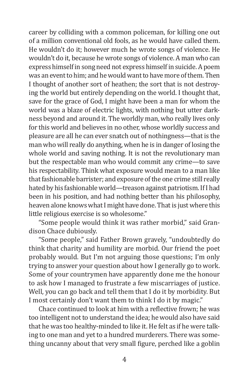career by colliding with a common policeman, for killing one out of a million conventional old fools, as he would have called them. He wouldn't do it; however much he wrote songs of violence. He wouldn't do it, because he wrote songs of violence. A man who can express himself in song need not express himself in suicide. A poem was an event to him; and he would want to have more of them. Then I thought of another sort of heathen; the sort that is not destroying the world but entirely depending on the world. I thought that, save for the grace of God, I might have been a man for whom the world was a blaze of electric lights, with nothing but utter darkness beyond and around it. The worldly man, who really lives only for this world and believes in no other, whose worldly success and pleasure are all he can ever snatch out of nothingness—that is the man who will really do anything, when he is in danger of losing the whole world and saving nothing. It is not the revolutionary man but the respectable man who would commit any crime—to save his respectability. Think what exposure would mean to a man like that fashionable barrister; and exposure of the one crime still really hated by his fashionable world—treason against patriotism. If I had been in his position, and had nothing better than his philosophy, heaven alone knows what I might have done. That is just where this little religious exercise is so wholesome."

"Some people would think it was rather morbid," said Grandison Chace dubiously.

"Some people," said Father Brown gravely, "undoubtedly do think that charity and humility are morbid. Our friend the poet probably would. But I'm not arguing those questions; I'm only trying to answer your question about how I generally go to work. Some of your countrymen have apparently done me the honour to ask how I managed to frustrate a few miscarriages of justice. Well, you can go back and tell them that I do it by morbidity. But I most certainly don't want them to think I do it by magic."

Chace continued to look at him with a reflective frown; he was too intelligent not to understand the idea; he would also have said that he was too healthy-minded to like it. He felt as if he were talking to one man and yet to a hundred murderers. There was something uncanny about that very small figure, perched like a goblin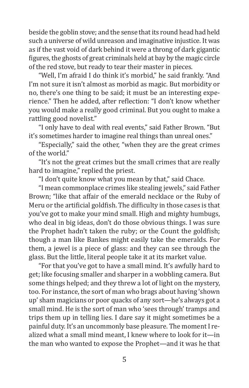beside the goblin stove; and the sense that its round head had held such a universe of wild unreason and imaginative injustice. It was as if the vast void of dark behind it were a throng of dark gigantic figures, the ghosts of great criminals held at bay by the magic circle of the red stove, but ready to tear their master in pieces.

"Well, I'm afraid I do think it's morbid," he said frankly. "And I'm not sure it isn't almost as morbid as magic. But morbidity or no, there's one thing to be said; it must be an interesting experience." Then he added, after reflection: "I don't know whether you would make a really good criminal. But you ought to make a rattling good novelist."

"I only have to deal with real events," said Father Brown. "But it's sometimes harder to imagine real things than unreal ones."

"Especially," said the other, "when they are the great crimes of the world."

"It's not the great crimes but the small crimes that are really hard to imagine," replied the priest.

"I don't quite know what you mean by that," said Chace.

"I mean commonplace crimes like stealing jewels," said Father Brown; "like that affair of the emerald necklace or the Ruby of Meru or the artificial goldfish. The difficulty in those cases is that you've got to make your mind small. High and mighty humbugs, who deal in big ideas, don't do those obvious things. I was sure the Prophet hadn't taken the ruby; or the Count the goldfish; though a man like Bankes might easily take the emeralds. For them, a jewel is a piece of glass: and they can see through the glass. But the little, literal people take it at its market value.

"For that you've got to have a small mind. It's awfully hard to get; like focusing smaller and sharper in a wobbling camera. But some things helped; and they threw a lot of light on the mystery, too. For instance, the sort of man who brags about having 'shown up' sham magicians or poor quacks of any sort—he's always got a small mind. He is the sort of man who 'sees through' tramps and trips them up in telling lies. I dare say it might sometimes be a painful duty. It's an uncommonly base pleasure. The moment I realized what a small mind meant, I knew where to look for it—in the man who wanted to expose the Prophet—and it was he that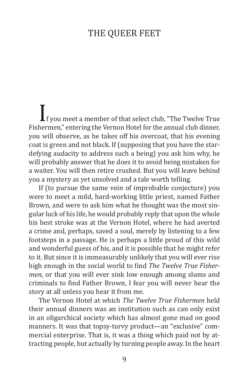### The Queer Feet

If you meet a member of that select club, "The Twelve True Fishermen," entering the Vernon Hotel for the annual club dinner, you will observe, as he takes off his overcoat, that his evening coat is green and not black. If (supposing that you have the stardefying audacity to address such a being) you ask him why, he will probably answer that he does it to avoid being mistaken for a waiter. You will then retire crushed. But you will leave behind you a mystery as yet unsolved and a tale worth telling.

If (to pursue the same vein of improbable conjecture) you were to meet a mild, hard-working little priest, named Father Brown, and were to ask him what he thought was the most singular luck of his life, he would probably reply that upon the whole his best stroke was at the Vernon Hotel, where he had averted a crime and, perhaps, saved a soul, merely by listening to a few footsteps in a passage. He is perhaps a little proud of this wild and wonderful guess of his, and it is possible that he might refer to it. But since it is immeasurably unlikely that you will ever rise high enough in the social world to find *The Twelve True Fishermen*, or that you will ever sink low enough among slums and criminals to find Father Brown, I fear you will never hear the story at all unless you hear it from me.

The Vernon Hotel at which *The Twelve True Fishermen* held their annual dinners was an institution such as can only exist in an oligarchical society which has almost gone mad on good manners. It was that topsy-turvy product—an "exclusive" commercial enterprise. That is, it was a thing which paid not by attracting people, but actually by turning people away. In the heart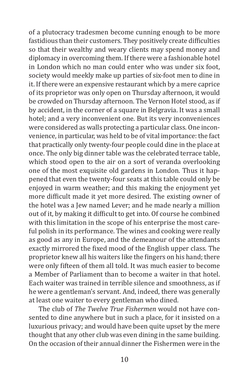of a plutocracy tradesmen become cunning enough to be more fastidious than their customers. They positively create difficulties so that their wealthy and weary clients may spend money and diplomacy in overcoming them. If there were a fashionable hotel in London which no man could enter who was under six foot, society would meekly make up parties of six-foot men to dine in it. If there were an expensive restaurant which by a mere caprice of its proprietor was only open on Thursday afternoon, it would be crowded on Thursday afternoon. The Vernon Hotel stood, as if by accident, in the corner of a square in Belgravia. It was a small hotel; and a very inconvenient one. But its very inconveniences were considered as walls protecting a particular class. One inconvenience, in particular, was held to be of vital importance: the fact that practically only twenty-four people could dine in the place at once. The only big dinner table was the celebrated terrace table, which stood open to the air on a sort of veranda overlooking one of the most exquisite old gardens in London. Thus it happened that even the twenty-four seats at this table could only be enjoyed in warm weather; and this making the enjoyment yet more difficult made it yet more desired. The existing owner of the hotel was a Jew named Lever; and he made nearly a million out of it, by making it difficult to get into. Of course he combined with this limitation in the scope of his enterprise the most careful polish in its performance. The wines and cooking were really as good as any in Europe, and the demeanour of the attendants exactly mirrored the fixed mood of the English upper class. The proprietor knew all his waiters like the fingers on his hand; there were only fifteen of them all told. It was much easier to become a Member of Parliament than to become a waiter in that hotel. Each waiter was trained in terrible silence and smoothness, as if he were a gentleman's servant. And, indeed, there was generally at least one waiter to every gentleman who dined.

The club of *The Twelve True Fishermen* would not have consented to dine anywhere but in such a place, for it insisted on a luxurious privacy; and would have been quite upset by the mere thought that any other club was even dining in the same building. On the occasion of their annual dinner the Fishermen were in the